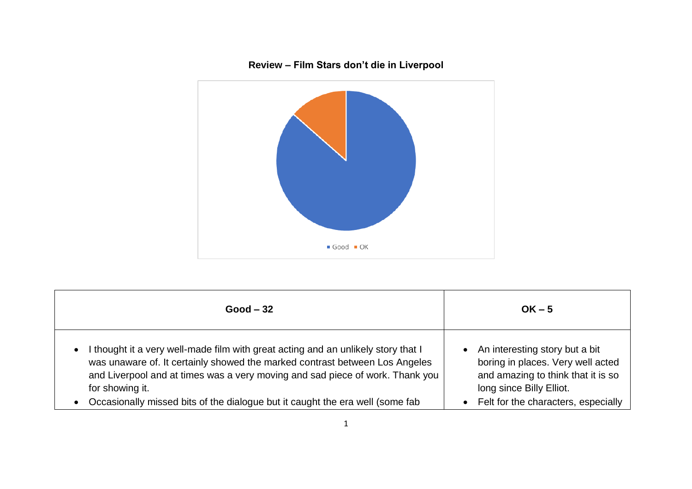

| $Good - 32$                                                                                                                                                                                                                                                                       | $OK - 5$                                                                                                                                |
|-----------------------------------------------------------------------------------------------------------------------------------------------------------------------------------------------------------------------------------------------------------------------------------|-----------------------------------------------------------------------------------------------------------------------------------------|
| I thought it a very well-made film with great acting and an unlikely story that I<br>$\bullet$<br>was unaware of. It certainly showed the marked contrast between Los Angeles<br>and Liverpool and at times was a very moving and sad piece of work. Thank you<br>for showing it. | • An interesting story but a bit<br>boring in places. Very well acted<br>and amazing to think that it is so<br>long since Billy Elliot. |
| Occasionally missed bits of the dialogue but it caught the era well (some fab<br>$\bullet$                                                                                                                                                                                        | • Felt for the characters, especially                                                                                                   |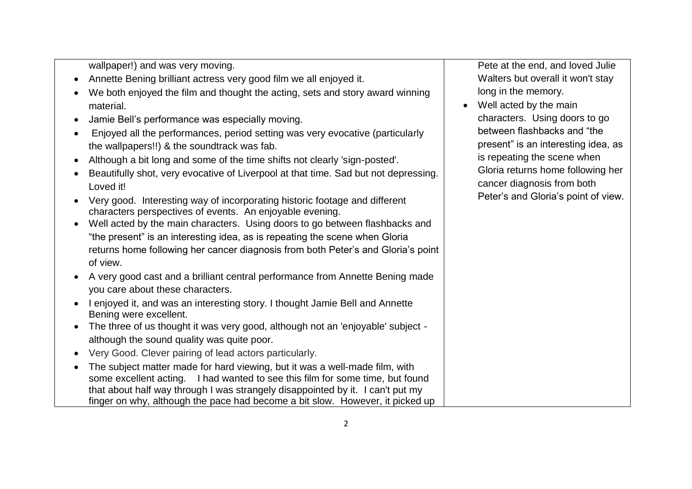wallpaper!) and was very moving.

- Annette Bening brilliant actress very good film we all enjoyed it.
- We both enjoyed the film and thought the acting, sets and story award winning material.
- Jamie Bell's performance was especially moving.
- Enjoyed all the performances, period setting was very evocative (particularly the wallpapers!!) & the soundtrack was fab.
- Although a bit long and some of the time shifts not clearly 'sign-posted'.
- Beautifully shot, very evocative of Liverpool at that time. Sad but not depressing. Loved it!
- Very good. Interesting way of incorporating historic footage and different characters perspectives of events. An enjoyable evening.
- Well acted by the main characters. Using doors to go between flashbacks and "the present" is an interesting idea, as is repeating the scene when Gloria returns home following her cancer diagnosis from both Peter's and Gloria's point of view.
- A very good cast and a brilliant central performance from Annette Bening made you care about these characters.
- I enjoyed it, and was an interesting story. I thought Jamie Bell and Annette Bening were excellent.
- The three of us thought it was very good, although not an 'enjoyable' subject although the sound quality was quite poor.
- Very Good. Clever pairing of lead actors particularly.
- The subject matter made for hard viewing, but it was a well-made film, with some excellent acting. I had wanted to see this film for some time, but found that about half way through I was strangely disappointed by it. I can't put my finger on why, although the pace had become a bit slow. However, it picked up

Pete at the end, and loved Julie Walters but overall it won't stay long in the memory.

• Well acted by the main characters. Using doors to go between flashbacks and "the present" is an interesting idea, as is repeating the scene when Gloria returns home following her cancer diagnosis from both Peter's and Gloria's point of view.